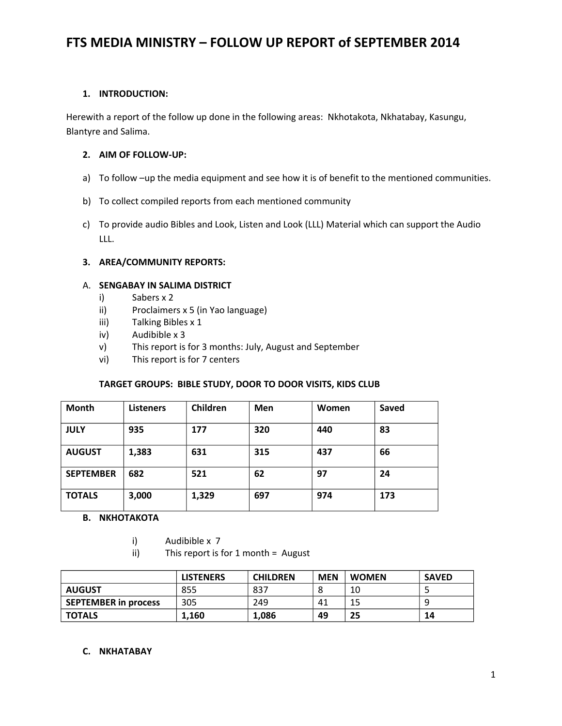## **1. INTRODUCTION:**

Herewith a report of the follow up done in the following areas: Nkhotakota, Nkhatabay, Kasungu, Blantyre and Salima.

#### **2. AIM OF FOLLOW-UP:**

- a) To follow -up the media equipment and see how it is of benefit to the mentioned communities.
- b) To collect compiled reports from each mentioned community
- c) To provide audio Bibles and Look, Listen and Look (LLL) Material which can support the Audio LLL.

### **3. AREA/COMMUNITY REPORTS:**

#### A. **SENGABAY IN SALIMA DISTRICT**

- i) Sabers x 2
- ii) Proclaimers x 5 (in Yao language)
- iii) Talking Bibles x 1
- iv) Audibible x 3
- v) This report is for 3 months: July, August and September
- vi) This report is for 7 centers

## **TARGET GROUPS: BIBLE STUDY, DOOR TO DOOR VISITS, KIDS CLUB**

| <b>Month</b>     | <b>Listeners</b> | Children | Men | Women | <b>Saved</b> |
|------------------|------------------|----------|-----|-------|--------------|
| <b>JULY</b>      | 935              | 177      | 320 | 440   | 83           |
| <b>AUGUST</b>    | 1,383            | 631      | 315 | 437   | 66           |
| <b>SEPTEMBER</b> | 682              | 521      | 62  | 97    | 24           |
| <b>TOTALS</b>    | 3,000            | 1,329    | 697 | 974   | 173          |

#### **B. NKHOTAKOTA**

- i) Audibible x 7
- ii) This report is for 1 month = August

|                             | <b>LISTENERS</b> | <b>CHILDREN</b> | <b>MEN</b> | <b>WOMEN</b> | <b>SAVED</b> |
|-----------------------------|------------------|-----------------|------------|--------------|--------------|
| <b>AUGUST</b>               | 855              | 837             |            | 10           |              |
| <b>SEPTEMBER in process</b> | 305              | 249             | 41         | 15           |              |
| <b>TOTALS</b>               | 1.160            | 1,086           | 49         | 25           | 14           |

#### **C. NKHATABAY**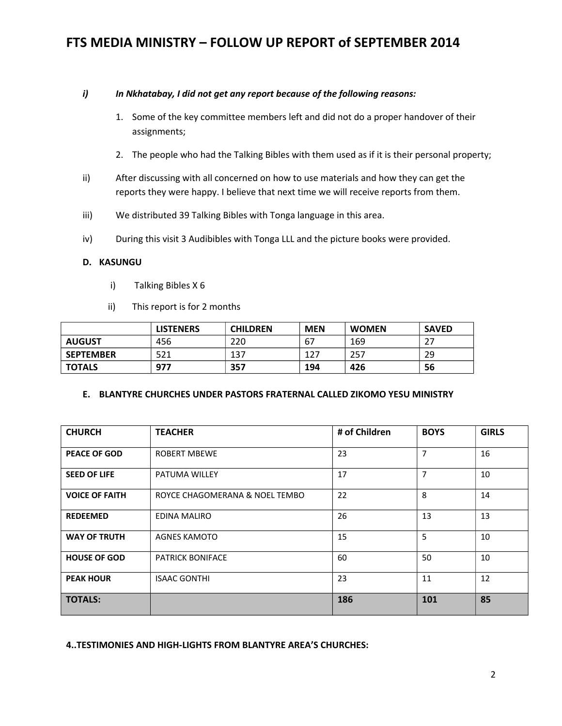#### *i) In Nkhatabay, I did not get any report because of the following reasons:*

- 1. Some of the key committee members left and did not do a proper handover of their assignments;
- 2. The people who had the Talking Bibles with them used as if it is their personal property;
- ii) After discussing with all concerned on how to use materials and how they can get the reports they were happy. I believe that next time we will receive reports from them.
- iii) We distributed 39 Talking Bibles with Tonga language in this area.
- iv) During this visit 3 Audibibles with Tonga LLL and the picture books were provided.

#### **D. KASUNGU**

- i) Talking Bibles X 6
- ii) This report is for 2 months

|                  | <b>LISTENERS</b> | <b>CHILDREN</b> | <b>MEN</b> | <b>WOMEN</b> | <b>SAVED</b> |
|------------------|------------------|-----------------|------------|--------------|--------------|
| <b>AUGUST</b>    | 456              | 220             | 67         | 169          | דר           |
| <b>SEPTEMBER</b> | 521              | 137             | 127        | 257          | 29           |
| <b>TOTALS</b>    | 977              | 357             | 194        | 426          | 56           |

#### **E. BLANTYRE CHURCHES UNDER PASTORS FRATERNAL CALLED ZIKOMO YESU MINISTRY**

| <b>CHURCH</b>         | <b>TEACHER</b>                 | # of Children | <b>BOYS</b>    | <b>GIRLS</b> |
|-----------------------|--------------------------------|---------------|----------------|--------------|
| <b>PEACE OF GOD</b>   | <b>ROBERT MBEWE</b>            | 23            | $\overline{7}$ | 16           |
| <b>SEED OF LIFE</b>   | <b>PATUMA WILLEY</b>           | 17            | $\overline{7}$ | 10           |
| <b>VOICE OF FAITH</b> | ROYCE CHAGOMERANA & NOEL TEMBO | 22            | 8              | 14           |
| <b>REDEEMED</b>       | EDINA MALIRO                   | 26            | 13             | 13           |
| <b>WAY OF TRUTH</b>   | AGNES KAMOTO                   | 15            | 5              | 10           |
| <b>HOUSE OF GOD</b>   | <b>PATRICK BONIFACE</b>        | 60            | 50             | 10           |
| <b>PEAK HOUR</b>      | <b>ISAAC GONTHI</b>            | 23            | 11             | 12           |
| <b>TOTALS:</b>        |                                | 186           | 101            | 85           |

**4..TESTIMONIES AND HIGH-LIGHTS FROM BLANTYRE AREA'S CHURCHES:**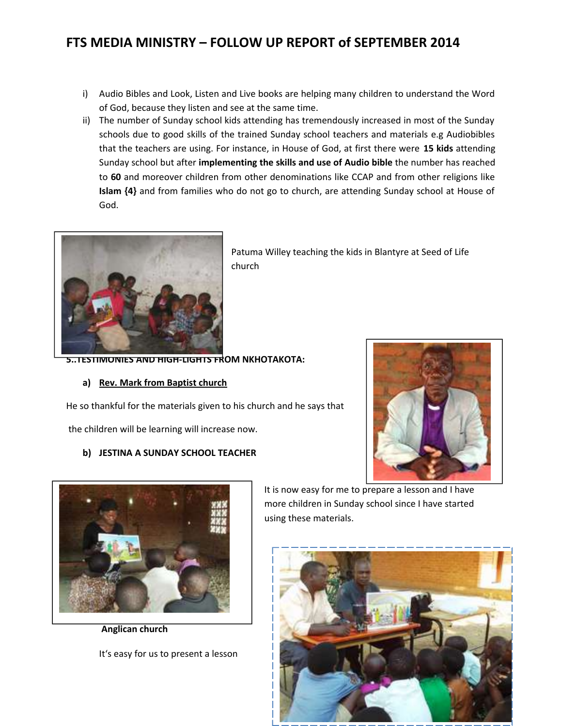- i) Audio Bibles and Look, Listen and Live books are helping many children to understand the Word of God, because they listen and see at the same time.
- ii) The number of Sunday school kids attending has tremendously increased in most of the Sunday schools due to good skills of the trained Sunday school teachers and materials e.g Audiobibles that the teachers are using. For instance, in House of God, at first there were **15 kids** attending Sunday school but after **implementing the skills and use of Audio bible** the number has reached to **60** and moreover children from other denominations like CCAP and from other religions like **Islam {4}** and from families who do not go to church, are attending Sunday school at House of God.



Patuma Willey teaching the kids in Blantyre at Seed of Life church

**5..TESTIMONIES AND HIGH-LIGHTS FROM NKHOTAKOTA:** 

#### **a) Rev. Mark from Baptist church**

He so thankful for the materials given to his church and he says that

the children will be learning will increase now.

## **b) JESTINA A SUNDAY SCHOOL TEACHER**





 **Anglican church**

It's easy for us to present a lesson

It is now easy for me to prepare a lesson and I have more children in Sunday school since I have started using these materials.